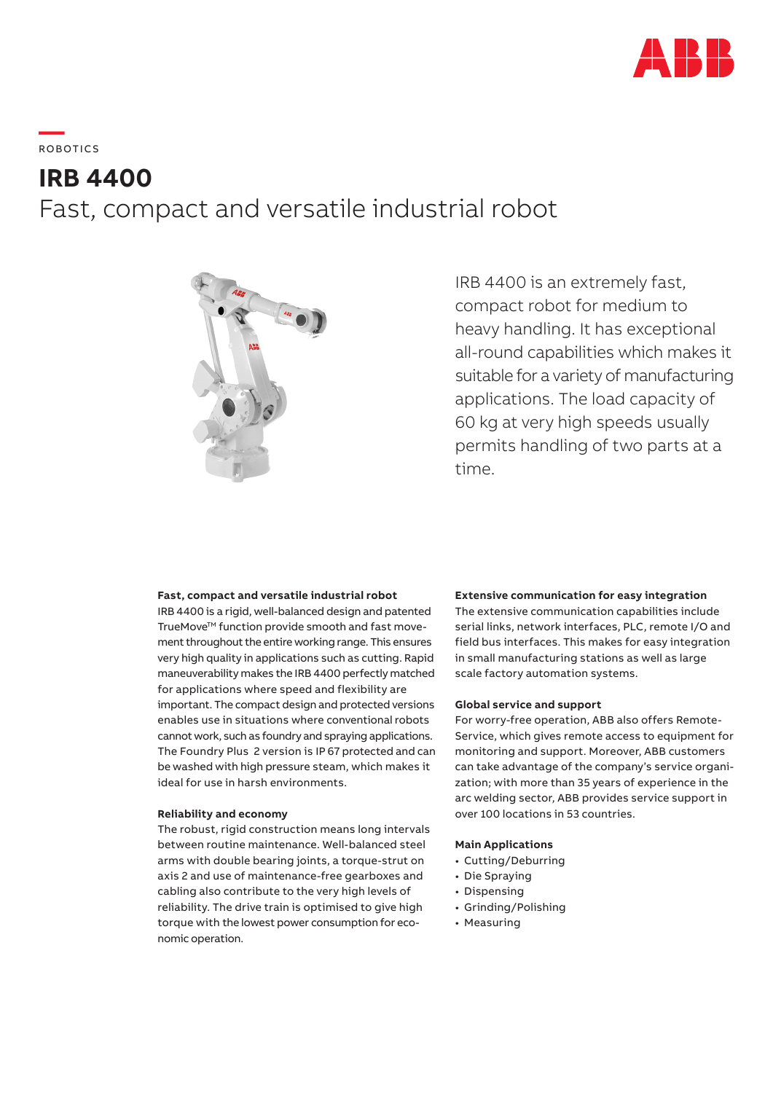

**—**  RO B OTI C S

# **IRB 4400** Fast, compact and versatile industrial robot



IRB 4400 is an extremely fast, compact robot for medium to heavy handling. It has exceptional all-round capabilities which makes it suitable for a variety of manufacturing applications. The load capacity of 60 kg at very high speeds usually permits handling of two parts at a time.

## **Fast, compact and versatile industrial robot**

IRB 4400 is a rigid, well-balanced design and patented TrueMove™ function provide smooth and fast movement throughout the entire working range. This ensures very high quality in applications such as cutting. Rapid maneuverability makes the IRB 4400 perfectly matched for applications where speed and flexibility are important. The compact design and protected versions enables use in situations where conventional robots cannot work, such as foundry and spraying applications. The Foundry Plus 2 version is IP 67 protected and can be washed with high pressure steam, which makes it ideal for use in harsh environments.

## **Reliability and economy**

The robust, rigid construction means long intervals between routine maintenance. Well-balanced steel arms with double bearing joints, a torque-strut on axis 2 and use of maintenance-free gearboxes and cabling also contribute to the very high levels of reliability. The drive train is optimised to give high torque with the lowest power consumption for economic operation.

## **Extensive communication for easy integration**

The extensive communication capabilities include serial links, network interfaces, PLC, remote I/O and field bus interfaces. This makes for easy integration in small manufacturing stations as well as large scale factory automation systems.

## **Global service and support**

For worry-free operation, ABB also offers Remote-Service, which gives remote access to equipment for monitoring and support. Moreover, ABB customers can take advantage of the company's service organization; with more than 35 years of experience in the arc welding sector, ABB provides service support in over 100 locations in 53 countries.

# **Main Applications**

- Cutting/Deburring
- Die Spraying
- Dispensing
- Grinding/Polishing
- Measuring